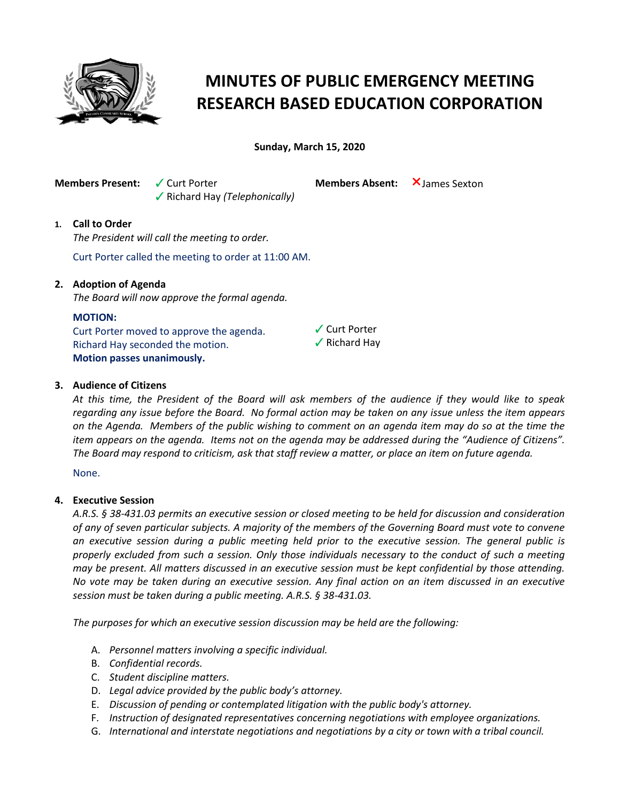

# **MINUTES OF PUBLIC EMERGENCY MEETING RESEARCH BASED EDUCATION CORPORATION**

**Sunday, March 15, 2020**

**Members Present:** V Curt Porter

b Richard Hay *(Telephonically)*

**Members Absent:** X James Sexton

## **1. Call to Order**

*The President will call the meeting to order.*

Curt Porter called the meeting to order at 11:00 AM.

## **2. Adoption of Agenda**

*The Board will now approve the formal agenda.*

### **MOTION:**

Curt Porter moved to approve the agenda. Richard Hay seconded the motion. **Motion passes unanimously.**



 $\checkmark$  Curt Porter

### **3. Audience of Citizens**

*At this time, the President of the Board will ask members of the audience if they would like to speak regarding any issue before the Board. No formal action may be taken on any issue unless the item appears on the Agenda. Members of the public wishing to comment on an agenda item may do so at the time the item appears on the agenda. Items not on the agenda may be addressed during the "Audience of Citizens". The Board may respond to criticism, ask that staff review a matter, or place an item on future agenda.*

None.

### **4. Executive Session**

*A.R.S. § 38-431.03 permits an executive session or closed meeting to be held for discussion and consideration of any of seven particular subjects. A majority of the members of the Governing Board must vote to convene an executive session during a public meeting held prior to the executive session. The general public is properly excluded from such a session. Only those individuals necessary to the conduct of such a meeting may be present. All matters discussed in an executive session must be kept confidential by those attending. No vote may be taken during an executive session. Any final action on an item discussed in an executive session must be taken during a public meeting. A.R.S. § 38-431.03.* 

*The purposes for which an executive session discussion may be held are the following:* 

- A. *Personnel matters involving a specific individual.*
- B. *Confidential records.*
- C. *Student discipline matters.*
- D. *Legal advice provided by the public body's attorney.*
- E. *Discussion of pending or contemplated litigation with the public body's attorney.*
- F. *Instruction of designated representatives concerning negotiations with employee organizations.*
- G. *International and interstate negotiations and negotiations by a city or town with a tribal council.*